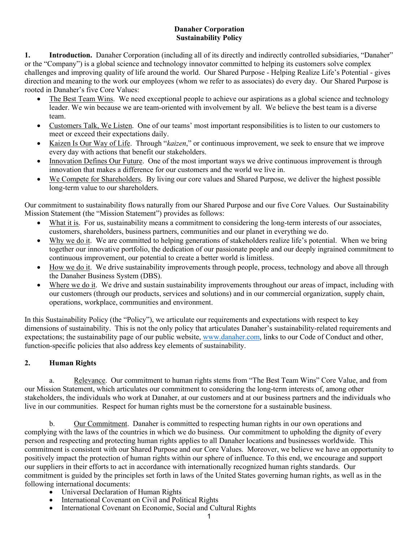### **Danaher Corporation Sustainability Policy**

**1. Introduction.** Danaher Corporation (including all of its directly and indirectly controlled subsidiaries, "Danaher" or the "Company") is a global science and technology innovator committed to helping its customers solve complex challenges and improving quality of life around the world. Our Shared Purpose - Helping Realize Life's Potential - gives direction and meaning to the work our employees (whom we refer to as associates) do every day. Our Shared Purpose is rooted in Danaher's five Core Values:

- The Best Team Wins. We need exceptional people to achieve our aspirations as a global science and technology leader. We win because we are team-oriented with involvement by all. We believe the best team is a diverse team.
- Customers Talk, We Listen. One of our teams' most important responsibilities is to listen to our customers to meet or exceed their expectations daily.
- Kaizen Is Our Way of Life. Through "*kaizen*," or continuous improvement, we seek to ensure that we improve every day with actions that benefit our stakeholders.
- Innovation Defines Our Future. One of the most important ways we drive continuous improvement is through innovation that makes a difference for our customers and the world we live in.
- We Compete for Shareholders. By living our core values and Shared Purpose, we deliver the highest possible long-term value to our shareholders.

Our commitment to sustainability flows naturally from our Shared Purpose and our five Core Values. Our Sustainability Mission Statement (the "Mission Statement") provides as follows:

- What it is. For us, sustainability means a commitment to considering the long-term interests of our associates, customers, shareholders, business partners, communities and our planet in everything we do.
- Why we do it. We are committed to helping generations of stakeholders realize life's potential. When we bring together our innovative portfolio, the dedication of our passionate people and our deeply ingrained commitment to continuous improvement, our potential to create a better world is limitless.
- How we do it. We drive sustainability improvements through people, process, technology and above all through the Danaher Business System (DBS).
- Where we do it. We drive and sustain sustainability improvements throughout our areas of impact, including with our customers (through our products, services and solutions) and in our commercial organization, supply chain, operations, workplace, communities and environment.

In this Sustainability Policy (the "Policy"), we articulate our requirements and expectations with respect to key dimensions of sustainability. This is not the only policy that articulates Danaher's sustainability-related requirements and expectations; the sustainability page of our public website, [www.danaher.com,](http://www.danaher.com/) links to our Code of Conduct and other, function-specific policies that also address key elements of sustainability.

# **2. Human Rights**

a. Relevance. Our commitment to human rights stems from "The Best Team Wins" Core Value, and from our Mission Statement, which articulates our commitment to considering the long-term interests of, among other stakeholders, the individuals who work at Danaher, at our customers and at our business partners and the individuals who live in our communities. Respect for human rights must be the cornerstone for a sustainable business.

b. Our Commitment. Danaher is committed to respecting human rights in our own operations and complying with the laws of the countries in which we do business. Our commitment to upholding the dignity of every person and respecting and protecting human rights applies to all Danaher locations and businesses worldwide. This commitment is consistent with our Shared Purpose and our Core Values. Moreover, we believe we have an opportunity to positively impact the protection of human rights within our sphere of influence. To this end, we encourage and support our suppliers in their efforts to act in accordance with internationally recognized human rights standards. Our commitment is guided by the principles set forth in laws of the United States governing human rights, as well as in the following international documents:

- Universal Declaration of Human Rights
- International Covenant on Civil and Political Rights
- International Covenant on Economic, Social and Cultural Rights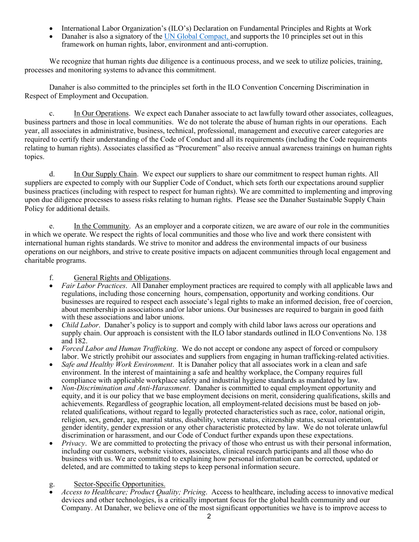- International Labor Organization's (ILO's) Declaration on Fundamental Principles and Rights at Work
- Danaher is also a signatory of the [UN Global Compact, a](https://www.unglobalcompact.org/what-is-gc/participants/20031)nd supports the 10 principles set out in this framework on human rights, labor, environment and anti-corruption.

We recognize that human rights due diligence is a continuous process, and we seek to utilize policies, training, processes and monitoring systems to advance this commitment.

Danaher is also committed to the principles set forth in the ILO Convention Concerning Discrimination in Respect of Employment and Occupation.

c. In Our Operations. We expect each Danaher associate to act lawfully toward other associates, colleagues, business partners and those in local communities. We do not tolerate the abuse of human rights in our operations. Each year, all associates in administrative, business, technical, professional, management and executive career categories are required to certify their understanding of the Code of Conduct and all its requirements (including the Code requirements relating to human rights). Associates classified as "Procurement" also receive annual awareness trainings on human rights topics.

d. In Our Supply Chain. We expect our suppliers to share our commitment to respect human rights. All suppliers are expected to comply with our Supplier Code of Conduct, which sets forth our expectations around supplier business practices (including with respect to respect for human rights). We are committed to implementing and improving upon due diligence processes to assess risks relating to human rights. Please see the Danaher Sustainable Supply Chain Policy for additional details.

e. In the Community. As an employer and a corporate citizen, we are aware of our role in the communities in which we operate. We respect the rights of local communities and those who live and work there consistent with international human rights standards. We strive to monitor and address the environmental impacts of our business operations on our neighbors, and strive to create positive impacts on adjacent communities through local engagement and charitable programs.

## f. General Rights and Obligations.

- *Fair Labor Practices*. All Danaher employment practices are required to comply with all applicable laws and regulations, including those concerning hours, compensation, opportunity and working conditions. Our businesses are required to respect each associate's legal rights to make an informed decision, free of coercion, about membership in associations and/or labor unions. Our businesses are required to bargain in good faith with these associations and labor unions.
- *Child Labor*. Danaher's policy is to support and comply with child labor laws across our operations and supply chain. Our approach is consistent with the ILO labor standards outlined in ILO Conventions No. 138 and 182.
- *Forced Labor and Human Trafficking*. We do not accept or condone any aspect of forced or compulsory labor. We strictly prohibit our associates and suppliers from engaging in human trafficking-related activities.
- *Safe and Healthy Work Environment*. It is Danaher policy that all associates work in a clean and safe environment. In the interest of maintaining a safe and healthy workplace, the Company requires full compliance with applicable workplace safety and industrial hygiene standards as mandated by law.
- *Non-Discrimination and Anti-Harassment*. Danaher is committed to equal employment opportunity and equity, and it is our policy that we base employment decisions on merit, considering qualifications, skills and achievements. Regardless of geographic location, all employment-related decisions must be based on jobrelated qualifications, without regard to legally protected characteristics such as race, color, national origin, religion, sex, gender, age, marital status, disability, veteran status, citizenship status, sexual orientation, gender identity, gender expression or any other characteristic protected by law. We do not tolerate unlawful discrimination or harassment, and our [Code of Conduct f](https://www.jnj.com/about-jnj/policies-and-positions/our-position-on-providing-a-safe-and-harassment-free-workplace)urther expands upon these expectations.
- *Privacy*. We are committed to protecting the privacy of those who entrust us with their personal information, including our customers, website visitors, associates, clinical research participants and all those who do business with us. We are committed to explaining how personal information can be corrected, updated or deleted, and are committed to taking steps to keep personal information secure.

### g. Sector-Specific Opportunities.

• *Access to Healthcare; Product Quality; Pricing*. Access to healthcare, including access to innovative medical devices and other technologies, is a critically important focus for the global health community and our Company. At Danaher, we believe one of the most significant opportunities we have is to improve access to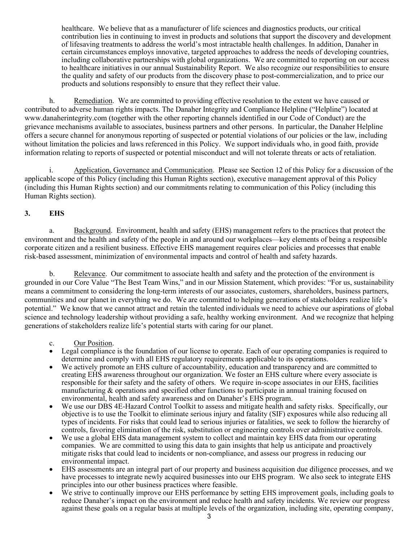healthcare. We believe that as a manufacturer of life sciences and diagnostics products, our critical contribution lies in continuing to invest in products and solutions that support the discovery and development of lifesaving treatments to address the world's most intractable health challenges. In addition, Danaher in certain circumstances employs innovative, targeted approaches to address the needs of developing countries, including collaborative partnerships with global organizations. We are committed to reporting on our access to healthcare initiatives in our annual [Sustainability Report.](https://www.jnj.com/about-jnj/policies-and-positions/our-position-on-intellectual-property) We also recognize our responsibilities to ensure the quality and safety of our products from the discovery phase to post-commercialization, and to price our products and solutions responsibly to ensure that they reflect their value.

h. Remediation. We are committed to providing effective resolution to the extent we have caused or contributed to adverse human rights impacts. The Danaher Integrity and Compliance Helpline ("Helpline") located at www.danaherintegrity.com (together with the other reporting channels identified in our Code of Conduct) are the grievance mechanisms available to associates, business partners and other persons. In particular, the Danaher Helpline offers a secure channel for anonymous reporting of suspected or potential violations of our policies or the law, including without limitation the policies and laws referenced in this Policy. We support individuals who, in good faith, provide information relating to reports of suspected or potential misconduct and will not tolerate threats or acts of retaliation.

Application, Governance and Communication. Please see Section 12 of this Policy for a discussion of the applicable scope of this Policy (including this Human Rights section), executive management approval of this Policy (including this Human Rights section) and our commitments relating to communication of this Policy (including this Human Rights section).

#### **3. EHS**

a. Background. Environment, health and safety (EHS) management refers to the practices that protect the environment and the health and safety of the people in and around our workplaces—key elements of being a responsible corporate citizen and a resilient business. Effective EHS management requires clear policies and processes that enable risk-based assessment, minimization of environmental impacts and control of health and safety hazards.

b. Relevance. Our commitment to associate health and safety and the protection of the environment is grounded in our Core Value "The Best Team Wins," and in our Mission Statement, which provides: "For us, sustainability means a commitment to considering the long-term interests of our associates, customers, shareholders, business partners, communities and our planet in everything we do. We are committed to helping generations of stakeholders realize life's potential." We know that we cannot attract and retain the talented individuals we need to achieve our aspirations of global science and technology leadership without providing a safe, healthy working environment. And we recognize that helping generations of stakeholders realize life's potential starts with caring for our planet.

#### c. Our Position.

- Legal compliance is the foundation of our license to operate. Each of our operating companies is required to determine and comply with all EHS regulatory requirements applicable to its operations.
- We actively promote an EHS culture of accountability, education and transparency and are committed to creating EHS awareness throughout our organization. We foster an EHS culture where every associate is responsible for their safety and the safety of others. We require in-scope associates in our EHS, facilities manufacturing & operations and specified other functions to participate in annual training focused on environmental, health and safety awareness and on Danaher's EHS program.
- We use our DBS 4E-Hazard Control Toolkit to assess and mitigate health and safety risks. Specifically, our objective is to use the Toolkit to eliminate serious injury and fatality (SIF) exposures while also reducing all types of incidents. For risks that could lead to serious injuries or fatalities, we seek to follow the hierarchy of controls, favoring elimination of the risk, substitution or engineering controls over administrative controls.
- We use a global EHS data management system to collect and maintain key EHS data from our operating companies. We are committed to using this data to gain insights that help us anticipate and proactively mitigate risks that could lead to incidents or non-compliance, and assess our progress in reducing our environmental impact.
- EHS assessments are an integral part of our property and business acquisition due diligence processes, and we have processes to integrate newly acquired businesses into our EHS program. We also seek to integrate EHS principles into our other business practices where feasible.
- We strive to continually improve our EHS performance by setting EHS improvement goals, including goals to reduce Danaher's impact on the environment and reduce health and safety incidents. We review our progress against these goals on a regular basis at multiple levels of the organization, including site, operating company,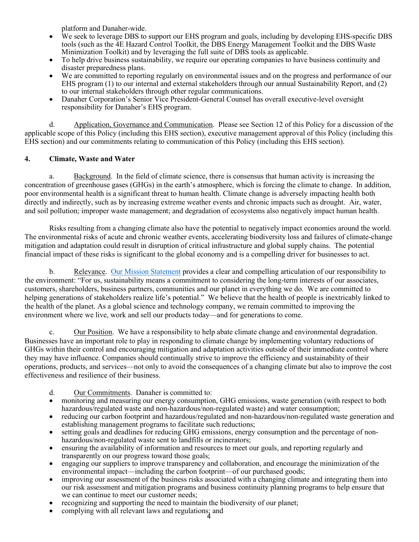platform and Danaher-wide.

- We seek to leverage DBS to support our EHS program and goals, including by developing EHS-specific DBS tools (such as the 4E Hazard Control Toolkit, the DBS Energy Management Toolkit and the DBS Waste Minimization Toolkit) and by leveraging the full suite of DBS tools as applicable.
- To help drive business sustainability, we require our operating companies to have business continuity and disaster preparedness plans.
- We are committed to reporting regularly on environmental issues and on the progress and performance of our EHS program (1) to our internal and external stakeholders through our annual Sustainability Report, and (2) to our internal stakeholders through other regular communications.
- Danaher Corporation's Senior Vice President-General Counsel has overall executive-level oversight responsibility for Danaher's EHS program.

d. Application, Governance and Communication. Please see Section 12 of this Policy for a discussion of the applicable scope of this Policy (including this EHS section), executive management approval of this Policy (including this EHS section) and our commitments relating to communication of this Policy (including this EHS section).

#### **4. Climate, Waste and Water**

a. Background. In the field of climate science, there is consensus that human activity is increasing the concentration of greenhouse gases (GHGs) in the earth's atmosphere, which is forcing the climate to change. In addition, poor environmental health is a significant threat to human health. Climate change is adversely impacting health both directly and indirectly, such as by increasing extreme weather events and chronic impacts such as drought. Air, water, and soil pollution; improper waste management; and degradation of ecosystems also negatively impact human health.

Risks resulting from a changing climate also have the potential to negatively impact economies around the world. The environmental risks of acute and chronic weather events, accelerating biodiversity loss and failures of climate-change mitigation and adaptation could result in disruption of critical infrastructure and global supply chains. The potential financial impact of these risks is significant to the global economy and is a compelling driver for businesses to act.

b. Relevance. [Our](https://www.jnj.com/about-jnj/jnj-credo) Mission Statement provides a clear and compelling articulation of our responsibility to the environment: "For us, sustainability means a commitment to considering the long-term interests of our associates, customers, shareholders, business partners, communities and our planet in everything we do. We are committed to helping generations of stakeholders realize life's potential." We believe that the health of people is inextricably linked to the health of the planet. As a global science and technology company, we remain committed to improving the environment where we live, work and sell our products today—and for generations to come.

c. Our Position. We have a responsibility to help abate climate change and environmental degradation. Businesses have an important role to play in responding to climate change by implementing voluntary reductions of GHGs within their control and encouraging mitigation and adaptation activities outside of their immediate control where they may have influence. Companies should continually strive to improve the efficiency and sustainability of their operations, products, and services—not only to avoid the consequences of a changing climate but also to improve the cost effectiveness and resilience of their business.

- d. Our Commitments. Danaher is committed to:
- monitoring and measuring our energy consumption, GHG emissions, waste generation (with respect to both hazardous/regulated waste and non-hazardous/non-regulated waste) and water consumption;
- reducing our carbon footprint and hazardous/regulated and non-hazardous/non-regulated waste generation and establishing management programs to facilitate such reductions;
- setting goals and deadlines for reducing GHG emissions, energy consumption and the percentage of nonhazardous/non-regulated waste sent to landfills or incinerators;
- ensuring the availability of information and resources to meet our goals, and reporting regularly and transparently on our progress toward those goals;
- engaging our suppliers to improve transparency and collaboration, and encourage the minimization of the environmental impact—including the carbon footprint—of our purchased goods;
- improving our assessment of the business risks associated with a changing climate and integrating them into our risk assessment and mitigation programs and business continuity planning programs to help ensure that we can continue to meet our customer needs;
- recognizing and supporting the need to maintain the biodiversity of our planet;
- complying with all relevant laws and regulations; and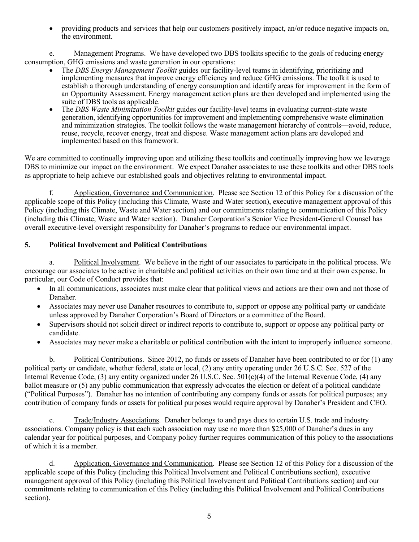• providing products and services that help our customers positively impact, an/or reduce negative impacts on, the environment.

e. Management Programs. We have developed two DBS toolkits specific to the goals of reducing energy consumption, GHG emissions and waste generation in our operations:

- The *DBS Energy Management Toolkit* guides our facility-level teams in identifying, prioritizing and implementing measures that improve energy efficiency and reduce GHG emissions. The toolkit is used to establish a thorough understanding of energy consumption and identify areas for improvement in the form of an Opportunity Assessment. Energy management action plans are then developed and implemented using the suite of DBS tools as applicable.
- The *DBS Waste Minimization Toolkit* guides our facility-level teams in evaluating current-state waste generation, identifying opportunities for improvement and implementing comprehensive waste elimination and minimization strategies. The toolkit follows the waste management hierarchy of controls—avoid, reduce, reuse, recycle, recover energy, treat and dispose. Waste management action plans are developed and implemented based on this framework.

We are committed to continually improving upon and utilizing these toolkits and continually improving how we leverage DBS to minimize our impact on the environment. We expect Danaher associates to use these toolkits and other DBS tools as appropriate to help achieve our established goals and objectives relating to environmental impact.

f. Application, Governance and Communication. Please see Section 12 of this Policy for a discussion of the applicable scope of this Policy (including this Climate, Waste and Water section), executive management approval of this Policy (including this Climate, Waste and Water section) and our commitments relating to communication of this Policy (including this Climate, Waste and Water section). Danaher Corporation's Senior Vice President-General Counsel has overall executive-level oversight responsibility for Danaher's programs to reduce our environmental impact.

# **5. Political Involvement and Political Contributions**

a. Political Involvement. We believe in the right of our associates to participate in the political process. We encourage our associates to be active in charitable and political activities on their own time and at their own expense. In particular, our Code of Conduct provides that:

- In all communications, associates must make clear that political views and actions are their own and not those of Danaher.
- Associates may never use Danaher resources to contribute to, support or oppose any political party or candidate unless approved by Danaher Corporation's Board of Directors or a committee of the Board.
- Supervisors should not solicit direct or indirect reports to contribute to, support or oppose any political party or candidate.
- Associates may never make a charitable or political contribution with the intent to improperly influence someone.

b. Political Contributions. Since 2012, no funds or assets of Danaher have been contributed to or for (1) any political party or candidate, whether federal, state or local, (2) any entity operating under 26 U.S.C. Sec. 527 of the Internal Revenue Code, (3) any entity organized under 26 U.S.C. Sec.  $501(c)(4)$  of the Internal Revenue Code, (4) any ballot measure or (5) any public communication that expressly advocates the election or defeat of a political candidate ("Political Purposes"). Danaher has no intention of contributing any company funds or assets for political purposes; any contribution of company funds or assets for political purposes would require approval by Danaher's President and CEO.

c. Trade/Industry Associations. Danaher belongs to and pays dues to certain U.S. trade and industry associations. Company policy is that each such association may use no more than \$25,000 of Danaher's dues in any calendar year for political purposes, and Company policy further requires communication of this policy to the associations of which it is a member.

d. Application, Governance and Communication. Please see Section 12 of this Policy for a discussion of the applicable scope of this Policy (including this Political Involvement and Political Contributions section), executive management approval of this Policy (including this Political Involvement and Political Contributions section) and our commitments relating to communication of this Policy (including this Political Involvement and Political Contributions section).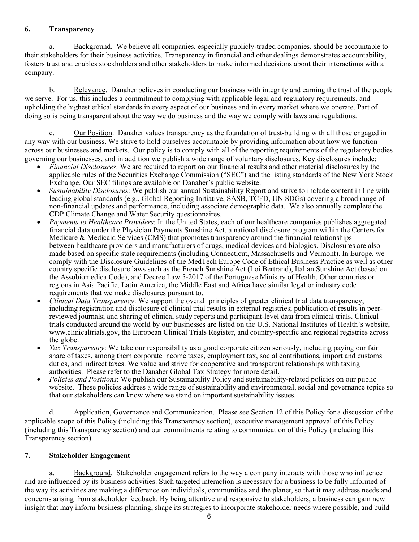#### **6. Transparency**

a. Background. We believe all companies, especially publicly-traded companies, should be accountable to their stakeholders for their business activities. Transparency in financial and other dealings demonstrates accountability, fosters trust and enables stockholders and other stakeholders to make informed decisions about their interactions with a company.

b. Relevance. Danaher believes in conducting our business with integrity and earning the trust of the people we serve. For us, this includes a commitment to complying with applicable legal and regulatory requirements, and upholding the highest ethical standards in every aspect of our business and in every market where we operate. Part of doing so is being transparent about the way we do business and the way we comply with laws and regulations.

c. Our Position. Danaher values transparency as the foundation of trust-building with all those engaged in any way with our business. We strive to hold ourselves accountable by providing information about how we function across our businesses and markets. Our policy is to comply with all of the reporting requirements of the regulatory bodies governing our businesses, and in addition we publish a wide range of voluntary disclosures. Key disclosures include:

- *Financial Disclosures*: We are required to report on our financial results and other material disclosures by the applicable rules of the Securities Exchange Commission ("SEC") and the listing standards of the New York Stock Exchange. Our SEC filings are available on Danaher's public website.
- *Sustainability Disclosures*: We publish our annual Sustainability Report and strive to include content in line with leading global standards (e.g.[, Global Reporting Initiative,](https://www.globalreporting.org/Pages/default.aspx) [SASB,](http://www.sasb.org/) TCFD, UN SDGs) covering a broad range of non-financial updates and performance, including associate demographic data. We also annually complete the CDP Climate Change and Water Security questionnaires.
- *Payments to Healthcare Providers*: In the United States, each of our healthcare companies publishes aggregated financial data under the Physician Payments Sunshine Act, a national disclosure program within the Centers for Medicare  $\&$  Medicaid Services (CMS) that promotes transparency around the financial relationships between healthcare providers and manufacturers of drugs, medical devices and biologics. Disclosures are also made based on specific state requirements (including Connecticut, Massachusetts and Vermont). In Europe, we comply with the Disclosure Guidelines of the MedTech Europe Code of Ethical Business Practice as well as other country specific disclosure laws such as the French Sunshine Act (Loi Bertrand), Italian Sunshine Act (based on the Assobiomedica Code), and Decree Law 5-2017 of the Portuguese Ministry of Health. Other countries or regions in Asia Pacific, Latin America, the Middle East and Africa have similar legal or industry code requirements that we make disclosures pursuant to.
- *Clinical Data Transparency*: We support the overall principles of greater clinical trial data transparency, including registration and disclosure of clinical trial results in external registries; publication of results in peerreviewed journals; and sharing of clinical study reports and participant-level data from clinical trials. Clinical trials conducted around the world by our businesses are listed on the U.S. National Institutes of Health's website, [www.clinicaltrials.gov, t](http://www.clinicaltrials.gov/)he European Clinical Trials Register, and country-specific and regional registries across the globe.
- *Tax Transparency*: We take our responsibility as a good corporate citizen seriously, including paying our fair share of taxes, among them corporate income taxes, employment tax, social contributions, import and customs duties, and indirect taxes. We value and strive for cooperative and transparent relationships with taxing authorities. Please refer to the Danaher Global Tax Strategy for more detail.
- *Policies and Positions*: We publish our Sustainability Policy and sustainability-related policies on our public website. These policies address a wide range of sustainability and environmental, social and governance topics so that our stakeholders can know where we stand on important sustainability issues.

d. Application, Governance and Communication. Please see Section 12 of this Policy for a discussion of the applicable scope of this Policy (including this Transparency section), executive management approval of this Policy (including this Transparency section) and our commitments relating to communication of this Policy (including this Transparency section).

## **7. Stakeholder Engagement**

a. Background. Stakeholder engagement refers to the way a company interacts with those who influence and are influenced by its business activities. Such targeted interaction is necessary for a business to be fully informed of the way its activities are making a difference on individuals, communities and the planet, so that it may address needs and concerns arising from stakeholder feedback. By being attentive and responsive to stakeholders, a business can gain new insight that may inform business planning, shape its strategies to incorporate stakeholder needs where possible, and build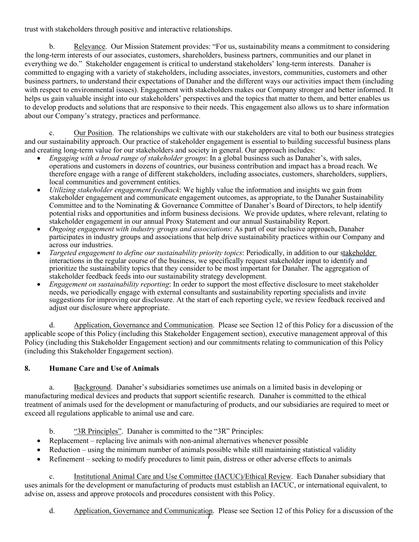trust with stakeholders through positive and interactive relationships.

b. Relevance. Our Mission Statement provides: "For us, sustainability means a commitment to considering the long-term interests of our associates, customers, shareholders, business partners, communities and our planet in everything we do." Stakeholder engagement is critical to understand stakeholders' long-term interests. Danaher is committed to engaging with a variety of stakeholders, including associates, investors, communities, customers and other business partners, to understand their expectations of Danaher and the different ways our activities impact them (including with respect to environmental issues). Engagement with stakeholders makes our Company stronger and better informed. It helps us gain valuable insight into our stakeholders' perspectives and the topics that matter to them, and better enables us to develop products and solutions that are responsive to their needs. This engagement also allows us to share information about our Company's strategy, practices and performance.

c. Our Position. The relationships we cultivate with our stakeholders are vital to both our business strategies and our sustainability approach. Our practice of stakeholder engagement is essential to building successful business plans and creating long-term value for our stakeholders and society in general. Our approach includes:

- *Engaging with a broad range of stakeholder groups*: In a global business such as Danaher's, with sales, operations and customers in dozens of countries, our business contribution and impact has a broad reach. We therefore engage with a range of different stakeholders, including associates, customers, shareholders, suppliers, local communities and government entities.
- *Utilizing stakeholder engagement feedback*: We highly value the information and insights we gain from stakeholder engagement and communicate engagement outcomes, as appropriate, to the Danaher Sustainability Committee and to the Nominating & Governance Committee of Danaher's Board of Directors, to help identify potential risks and opportunities and inform business decisions. We provide updates, where relevant, relating to stakeholder engagement in our annual Proxy Statement and our annual Sustainability Report.
- *Ongoing engagement with industry groups and associations*: As part of our inclusive approach, Danaher participates in industry groups and associations that help drive sustainability practices within our Company and across our industries.
- *Targeted engagement to define our sustainability priority topics*: Periodically, in addition to our stakeholder interactions in the regular course of the business, we specifically request stakeholder input to identify and prioritize the sustainability topics that they consider to be most important for Danaher. The aggregation of stakeholder feedback feeds into our sustainability strategy development.
- *Engagement on sustainability reporting*: In order to support the most effective disclosure to meet stakeholder needs, we periodically engage with external consultants and sustainability reporting specialists and invite suggestions for improving our disclosure. At the start of each reporting cycle, we review feedback received and adjust our disclosure where appropriate.

d. Application, Governance and Communication. Please see Section 12 of this Policy for a discussion of the applicable scope of this Policy (including this Stakeholder Engagement section), executive management approval of this Policy (including this Stakeholder Engagement section) and our commitments relating to communication of this Policy (including this Stakeholder Engagement section).

# **8. Humane Care and Use of Animals**

a. Background. Danaher's subsidiaries sometimes use animals on a limited basis in developing or manufacturing medical devices and products that support scientific research. Danaher is committed to the ethical treatment of animals used for the development or manufacturing of products, and our subsidiaries are required to meet or exceed all regulations applicable to animal use and care.

b. "3R Principles". Danaher is committed to the "3R" Principles:

- Replacement replacing live animals with non-animal alternatives whenever possible
- Reduction using the minimum number of animals possible while still maintaining statistical validity
- Refinement seeking to modify procedures to limit pain, distress or other adverse effects to animals

c. Institutional Animal Care and Use Committee (IACUC)/Ethical Review. Each Danaher subsidiary that uses animals for the development or manufacturing of products must establish an IACUC, or international equivalent, to advise on, assess and approve protocols and procedures consistent with this Policy.

d. Application, Governance and Communication. Please see Section 12 of this Policy for a discussion of the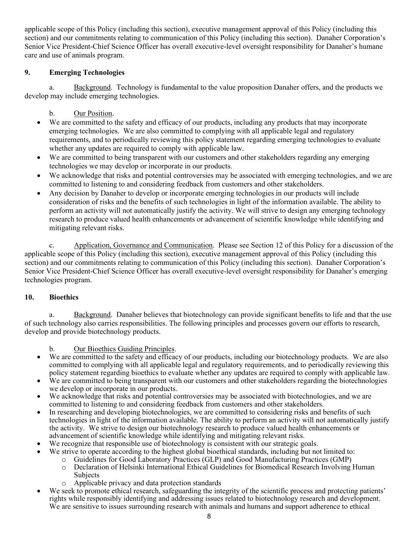applicable scope of this Policy (including this section), executive management approval of this Policy (including this section) and our commitments relating to communication of this Policy (including this section). Danaher Corporation's Senior Vice President-Chief Science Officer has overall executive-level oversight responsibility for Danaher's humane care and use of animals program.

## **9. Emerging Technologies**

a. Background. Technology is fundamental to the value proposition Danaher offers, and the products we develop may include emerging technologies.

## b. Our Position.

- We are committed to the safety and efficacy of our products, including any products that may incorporate emerging technologies. We are also committed to complying with all applicable legal and regulatory requirements, and to periodically reviewing this policy statement regarding emerging technologies to evaluate whether any updates are required to comply with applicable law.
- We are committed to being transparent with our customers and other stakeholders regarding any emerging technologies we may develop or incorporate in our products.
- We acknowledge that risks and potential controversies may be associated with emerging technologies, and we are committed to listening to and considering feedback from customers and other stakeholders.
- Any decision by Danaher to develop or incorporate emerging technologies in our products will include consideration of risks and the benefits of such technologies in light of the information available. The ability to perform an activity will not automatically justify the activity. We will strive to design any emerging technology research to produce valued health enhancements or advancement of scientific knowledge while identifying and mitigating relevant risks.

c. Application, Governance and Communication. Please see Section 12 of this Policy for a discussion of the applicable scope of this Policy (including this section), executive management approval of this Policy (including this section) and our commitments relating to communication of this Policy (including this section). Danaher Corporation's Senior Vice President-Chief Science Officer has overall executive-level oversight responsibility for Danaher's emerging technologies program.

## **10. Bioethics**

a. Background. Danaher believes that biotechnology can provide significant benefits to life and that the use of such technology also carries responsibilities. The following principles and processes govern our efforts to research, develop and provide biotechnology products.

b. Our Bioethics Guiding Principles.

- We are committed to the safety and efficacy of our products, including our biotechnology products. We are also committed to complying with all applicable legal and regulatory requirements, and to periodically reviewing this policy statement regarding bioethics to evaluate whether any updates are required to comply with applicable law.
- We are committed to being transparent with our customers and other stakeholders regarding the biotechnologies we develop or incorporate in our products.
- We acknowledge that risks and potential controversies may be associated with biotechnologies, and we are committed to listening to and considering feedback from customers and other stakeholders.
- In researching and developing biotechnologies, we are committed to considering risks and benefits of such technologies in light of the information available. The ability to perform an activity will not automatically justify the activity. We strive to design our biotechnology research to produce valued health enhancements or advancement of scientific knowledge while identifying and mitigating relevant risks.
- We recognize that responsible use of biotechnology is consistent with our strategic goals.
- We strive to operate according to the highest global bioethical standards, including but not limited to:
	- o Guidelines for Good Laboratory Practices (GLP) and Good Manufacturing Practices (GMP)
		- Declaration of Helsinki International Ethical Guidelines for Biomedical Research Involving Human Subjects
		- o Applicable privacy and data protection standards
- We seek to promote ethical research, safeguarding the integrity of the scientific process and protecting patients' rights while responsibly identifying and addressing issues related to biotechnology research and development. We are sensitive to issues surrounding research with animals and humans and support adherence to ethical